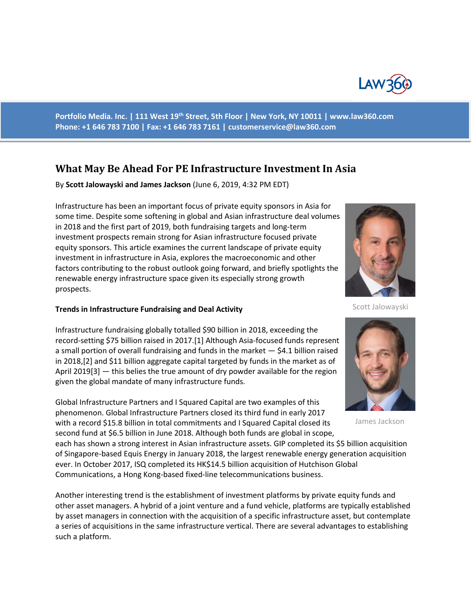

**Portfolio Media. Inc. | 111 West 19th Street, 5th Floor | New York, NY 10011 | www.law360.com Phone: +1 646 783 7100 | Fax: +1 646 783 7161 | [customerservice@law360.com](mailto:customerservice@law360.com)**

# **What May Be Ahead For PE Infrastructure Investment In Asia**

By **Scott Jalowayski and James Jackson** (June 6, 2019, 4:32 PM EDT)

Infrastructure has been an important focus of private equity sponsors in Asia for some time. Despite some softening in global and Asian infrastructure deal volumes in 2018 and the first part of 2019, both fundraising targets and long-term investment prospects remain strong for Asian infrastructure focused private equity sponsors. This article examines the current landscape of private equity investment in infrastructure in Asia, explores the macroeconomic and other factors contributing to the robust outlook going forward, and briefly spotlights the renewable energy infrastructure space given its especially strong growth prospects.

#### **Trends in Infrastructure Fundraising and Deal Activity**

Infrastructure fundraising globally totalled \$90 billion in 2018, exceeding the record-setting \$75 billion raised in 2017.[1] Although Asia-focused funds represent a small portion of overall fundraising and funds in the market — \$4.1 billion raised in 2018,[2] and \$11 billion aggregate capital targeted by funds in the market as of April 2019[3] — this belies the true amount of dry powder available for the region given the global mandate of many infrastructure funds.

Global Infrastructure Partners and I Squared Capital are two examples of this phenomenon. Global Infrastructure Partners closed its third fund in early 2017 with a record \$15.8 billion in total commitments and I Squared Capital closed its second fund at \$6.5 billion in June 2018. Although both funds are global in scope,

each has shown a strong interest in Asian infrastructure assets. GIP completed its \$5 billion acquisition of Singapore-based Equis Energy in January 2018, the largest renewable energy generation acquisition ever. In October 2017, ISQ completed its HK\$14.5 billion acquisition of Hutchison Global Communications, a Hong Kong-based fixed-line telecommunications business.

Another interesting trend is the establishment of investment platforms by private equity funds and other asset managers. A hybrid of a joint venture and a fund vehicle, platforms are typically established by asset managers in connection with the acquisition of a specific infrastructure asset, but contemplate a series of acquisitions in the same infrastructure vertical. There are several advantages to establishing such a platform.



Scott Jalowayski



James Jackson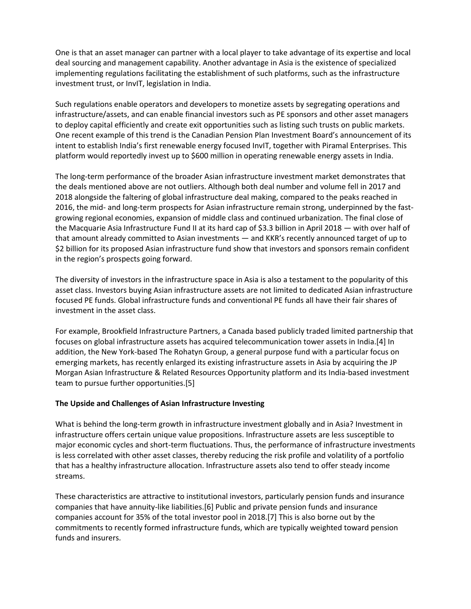One is that an asset manager can partner with a local player to take advantage of its expertise and local deal sourcing and management capability. Another advantage in Asia is the existence of specialized implementing regulations facilitating the establishment of such platforms, such as the infrastructure investment trust, or InvIT, legislation in India.

Such regulations enable operators and developers to monetize assets by segregating operations and infrastructure/assets, and can enable financial investors such as PE sponsors and other asset managers to deploy capital efficiently and create exit opportunities such as listing such trusts on public markets. One recent example of this trend is the Canadian Pension Plan Investment Board's announcement of its intent to establish India's first renewable energy focused InvIT, together with Piramal Enterprises. This platform would reportedly invest up to \$600 million in operating renewable energy assets in India.

The long-term performance of the broader Asian infrastructure investment market demonstrates that the deals mentioned above are not outliers. Although both deal number and volume fell in 2017 and 2018 alongside the faltering of global infrastructure deal making, compared to the peaks reached in 2016, the mid- and long-term prospects for Asian infrastructure remain strong, underpinned by the fastgrowing regional economies, expansion of middle class and continued urbanization. The final close of the Macquarie Asia Infrastructure Fund II at its hard cap of \$3.3 billion in April 2018 — with over half of that amount already committed to Asian investments — and KKR's recently announced target of up to \$2 billion for its proposed Asian infrastructure fund show that investors and sponsors remain confident in the region's prospects going forward.

The diversity of investors in the infrastructure space in Asia is also a testament to the popularity of this asset class. Investors buying Asian infrastructure assets are not limited to dedicated Asian infrastructure focused PE funds. Global infrastructure funds and conventional PE funds all have their fair shares of investment in the asset class.

For example, Brookfield Infrastructure Partners, a Canada based publicly traded limited partnership that focuses on global infrastructure assets has acquired telecommunication tower assets in India.[4] In addition, the New York-based The Rohatyn Group, a general purpose fund with a particular focus on emerging markets, has recently enlarged its existing infrastructure assets in Asia by acquiring the JP Morgan Asian Infrastructure & Related Resources Opportunity platform and its India-based investment team to pursue further opportunities.[5]

### **The Upside and Challenges of Asian Infrastructure Investing**

What is behind the long-term growth in infrastructure investment globally and in Asia? Investment in infrastructure offers certain unique value propositions. Infrastructure assets are less susceptible to major economic cycles and short-term fluctuations. Thus, the performance of infrastructure investments is less correlated with other asset classes, thereby reducing the risk profile and volatility of a portfolio that has a healthy infrastructure allocation. Infrastructure assets also tend to offer steady income streams.

These characteristics are attractive to institutional investors, particularly pension funds and insurance companies that have annuity-like liabilities.[6] Public and private pension funds and insurance companies account for 35% of the total investor pool in 2018.[7] This is also borne out by the commitments to recently formed infrastructure funds, which are typically weighted toward pension funds and insurers.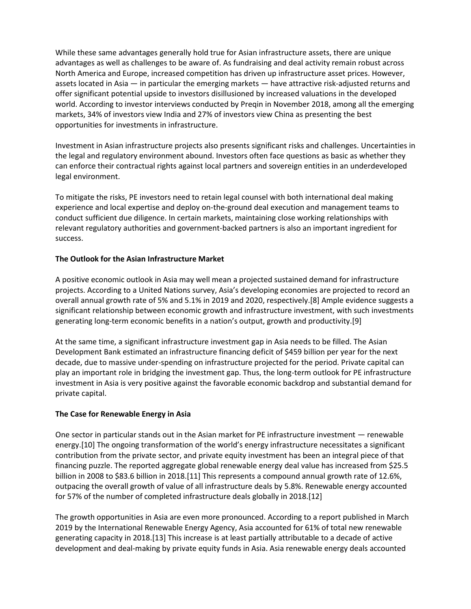While these same advantages generally hold true for Asian infrastructure assets, there are unique advantages as well as challenges to be aware of. As fundraising and deal activity remain robust across North America and Europe, increased competition has driven up infrastructure asset prices. However, assets located in Asia — in particular the emerging markets — have attractive risk-adjusted returns and offer significant potential upside to investors disillusioned by increased valuations in the developed world. According to investor interviews conducted by Preqin in November 2018, among all the emerging markets, 34% of investors view India and 27% of investors view China as presenting the best opportunities for investments in infrastructure.

Investment in Asian infrastructure projects also presents significant risks and challenges. Uncertainties in the legal and regulatory environment abound. Investors often face questions as basic as whether they can enforce their contractual rights against local partners and sovereign entities in an underdeveloped legal environment.

To mitigate the risks, PE investors need to retain legal counsel with both international deal making experience and local expertise and deploy on-the-ground deal execution and management teams to conduct sufficient due diligence. In certain markets, maintaining close working relationships with relevant regulatory authorities and government-backed partners is also an important ingredient for success.

## **The Outlook for the Asian Infrastructure Market**

A positive economic outlook in Asia may well mean a projected sustained demand for infrastructure projects. According to a United Nations survey, Asia's developing economies are projected to record an overall annual growth rate of 5% and 5.1% in 2019 and 2020, respectively.[8] Ample evidence suggests a significant relationship between economic growth and infrastructure investment, with such investments generating long-term economic benefits in a nation's output, growth and productivity.[9]

At the same time, a significant infrastructure investment gap in Asia needs to be filled. The Asian Development Bank estimated an infrastructure financing deficit of \$459 billion per year for the next decade, due to massive under-spending on infrastructure projected for the period. Private capital can play an important role in bridging the investment gap. Thus, the long-term outlook for PE infrastructure investment in Asia is very positive against the favorable economic backdrop and substantial demand for private capital.

### **The Case for Renewable Energy in Asia**

One sector in particular stands out in the Asian market for PE infrastructure investment — renewable energy.[10] The ongoing transformation of the world's energy infrastructure necessitates a significant contribution from the private sector, and private equity investment has been an integral piece of that financing puzzle. The reported aggregate global renewable energy deal value has increased from \$25.5 billion in 2008 to \$83.6 billion in 2018.[11] This represents a compound annual growth rate of 12.6%, outpacing the overall growth of value of all infrastructure deals by 5.8%. Renewable energy accounted for 57% of the number of completed infrastructure deals globally in 2018.[12]

The growth opportunities in Asia are even more pronounced. According to a report published in March 2019 by the International Renewable Energy Agency, Asia accounted for 61% of total new renewable generating capacity in 2018.[13] This increase is at least partially attributable to a decade of active development and deal-making by private equity funds in Asia. Asia renewable energy deals accounted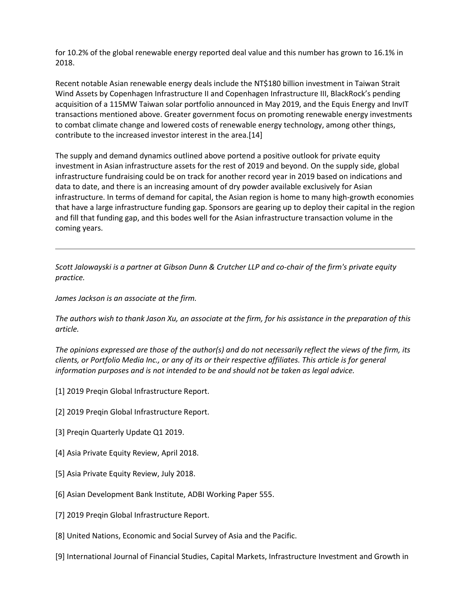for 10.2% of the global renewable energy reported deal value and this number has grown to 16.1% in 2018.

Recent notable Asian renewable energy deals include the NT\$180 billion investment in Taiwan Strait Wind Assets by Copenhagen Infrastructure II and Copenhagen Infrastructure III, BlackRock's pending acquisition of a 115MW Taiwan solar portfolio announced in May 2019, and the Equis Energy and InvIT transactions mentioned above. Greater government focus on promoting renewable energy investments to combat climate change and lowered costs of renewable energy technology, among other things, contribute to the increased investor interest in the area.[14]

The supply and demand dynamics outlined above portend a positive outlook for private equity investment in Asian infrastructure assets for the rest of 2019 and beyond. On the supply side, global infrastructure fundraising could be on track for another record year in 2019 based on indications and data to date, and there is an increasing amount of dry powder available exclusively for Asian infrastructure. In terms of demand for capital, the Asian region is home to many high-growth economies that have a large infrastructure funding gap. Sponsors are gearing up to deploy their capital in the region and fill that funding gap, and this bodes well for the Asian infrastructure transaction volume in the coming years.

*Scott Jalowayski is a partner at Gibson Dunn & Crutcher LLP and co-chair of the firm's private equity practice.*

*James Jackson is an associate at the firm.*

*The authors wish to thank Jason Xu, an associate at the firm, for his assistance in the preparation of this article.*

*The opinions expressed are those of the author(s) and do not necessarily reflect the views of the firm, its clients, or Portfolio Media Inc., or any of its or their respective affiliates. This article is for general information purposes and is not intended to be and should not be taken as legal advice.*

- [1] 2019 Pregin Global Infrastructure Report.
- [2] 2019 Preqin Global Infrastructure Report.
- [3] Pregin Quarterly Update Q1 2019.
- [4] Asia Private Equity Review, April 2018.
- [5] Asia Private Equity Review, July 2018.
- [6] Asian Development Bank Institute, ADBI Working Paper 555.
- [7] 2019 Preqin Global Infrastructure Report.
- [8] United Nations, Economic and Social Survey of Asia and the Pacific.
- [9] International Journal of Financial Studies, Capital Markets, Infrastructure Investment and Growth in